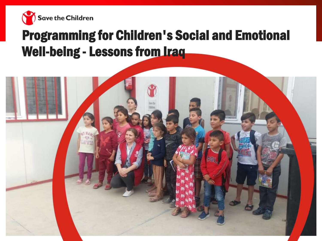

## Programming for Children's Social and Emotional Well-being - Lessons from **Iraq**

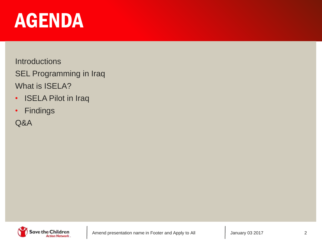# AGENDA

**Introductions** 

SEL Programming in Iraq What is ISELA?

- ISELA Pilot in Iraq
- Findings

Q&A

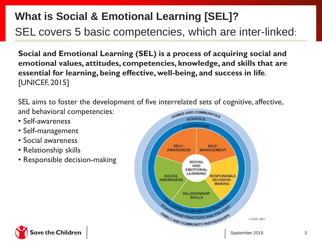## **What is Social & Emotional Learning [SEL]?**

SEL covers 5 basic competencies, which are inter-linked:

**Social and Emotional Learning (SEL) is a process of acquiring social and emotional values, attitudes, competencies, knowledge, and skills that are essential for learning, being effective, well-being, and success in life**. [UNICEF, 2015]

SEL aims to foster the development of five interrelated sets of cognitive, affective, and behavioral competencies:

- Self-awareness
- Self-management
- Social awareness
- Relationship skills
- Responsible decision-making



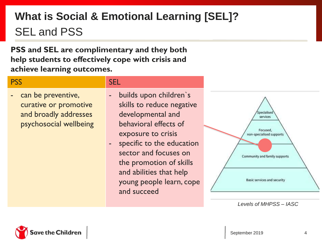## **What is Social & Emotional Learning [SEL]?** SEL and PSS

**PSS and SEL are complimentary and they both help students to effectively cope with crisis and achieve learning outcomes.**

#### PSS SEL SEL SEL SEL

- can be preventive, curative or promotive and broadly addresses psychosocial wellbeing
- builds upon children's skills to reduce negative developmental and behavioral effects of exposure to crisis
- specific to the education sector and focuses on the promotion of skills and abilities that help young people learn, cope and succeed



*Levels of MHPSS – IASC*

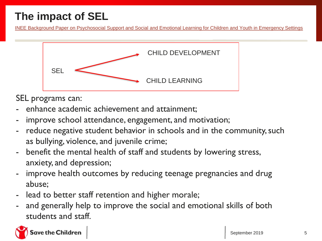## **The impact of SEL**

[INEE Background Paper on Psychosocial Support and Social and Emotional Learning for Children and Youth in Emergency Settings](http://s3.amazonaws.com/inee-assets/resources/INEE_PSS-SEL_Background_Paper_ENG_v5.3.pdf)



SEL programs can:

- enhance academic achievement and attainment:
- improve school attendance, engagement, and motivation;
- reduce negative student behavior in schools and in the community, such as bullying, violence, and juvenile crime;
- benefit the mental health of staff and students by lowering stress, anxiety, and depression;
- improve health outcomes by reducing teenage pregnancies and drug abuse;
- lead to better staff retention and higher morale;
- and generally help to improve the social and emotional skills of both students and staff.

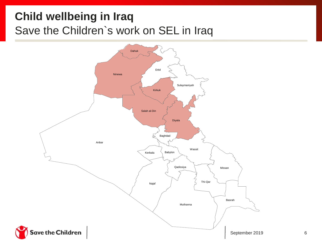## **Child wellbeing in Iraq** Save the Children`s work on SEL in Iraq

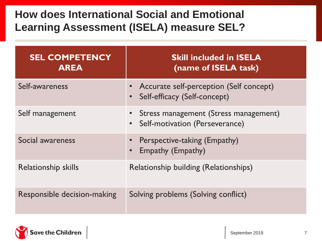#### **How does International Social and Emotional Learning Assessment (ISELA) measure SEL?**

| <b>SEL COMPETENCY</b><br><b>AREA</b> | <b>Skill included in ISELA</b><br>(name of ISELA task)                                 |
|--------------------------------------|----------------------------------------------------------------------------------------|
| Self-awareness                       | Accurate self-perception (Self concept)<br>Self-efficacy (Self-concept)                |
| Self management                      | • Stress management (Stress management)<br>Self-motivation (Perseverance)<br>$\bullet$ |
| Social awareness                     | Perspective-taking (Empathy)<br><b>Empathy (Empathy)</b><br>$\bullet$                  |
| <b>Relationship skills</b>           | <b>Relationship building (Relationships)</b>                                           |
| Responsible decision-making          | Solving problems (Solving conflict)                                                    |

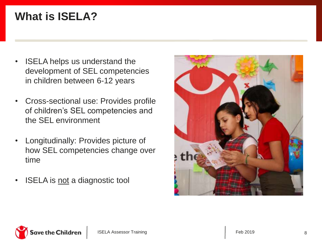## **What is ISELA?**

- ISELA helps us understand the development of SEL competencies in children between 6-12 years
- Cross-sectional use: Provides profile of children's SEL competencies and the SEL environment
- Longitudinally: Provides picture of how SEL competencies change over time
- **ISELA** is <u>not</u> a diagnostic tool



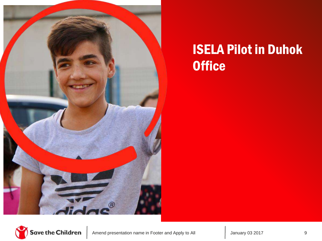

## ISELA Pilot in Duhok **Office**

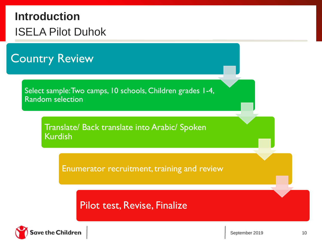## **Introduction** ISELA Pilot Duhok

Country Review

Select sample: Two camps, 10 schools, Children grades 1-4, Random selection

> Translate/ Back translate into Arabic/ Spoken Kurdish

> > Enumerator recruitment, training and review

Pilot test, Revise, Finalize

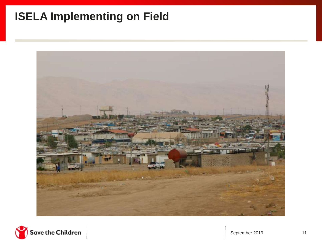## **ISELA Implementing on Field**



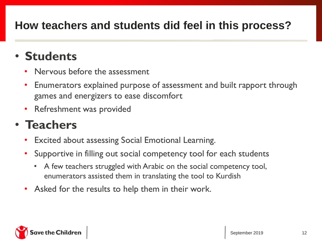## **How teachers and students did feel in this process?**

## • **Students**

- Nervous before the assessment
- Enumerators explained purpose of assessment and built rapport through games and energizers to ease discomfort
- Refreshment was provided

## • **Teachers**

- Excited about assessing Social Emotional Learning.
- Supportive in filling out social competency tool for each students
	- A few teachers struggled with Arabic on the social competency tool, enumerators assisted them in translating the tool to Kurdish
- Asked for the results to help them in their work.

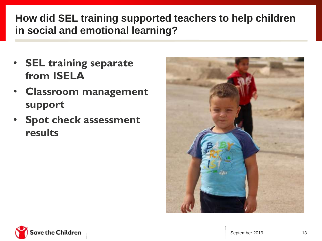#### **How did SEL training supported teachers to help children in social and emotional learning?**

- **SEL training separate from ISELA**
- **Classroom management support**
- **Spot check assessment results**



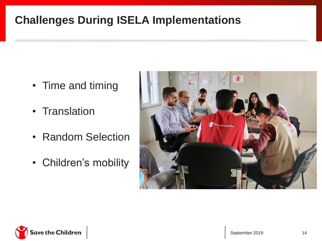## **Challenges During ISELA Implementations**

- Time and timing
- Translation
- Random Selection
- Children's mobility



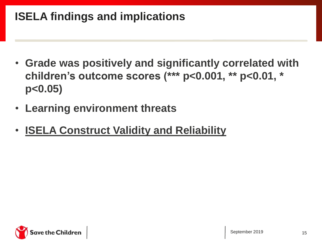## **ISELA findings and implications**

- **Grade was positively and significantly correlated with children's outcome scores (\*\*\* p<0.001, \*\* p<0.01, \* p<0.05)**
- **Learning environment threats**
- **ISELA Construct Validity and Reliability**